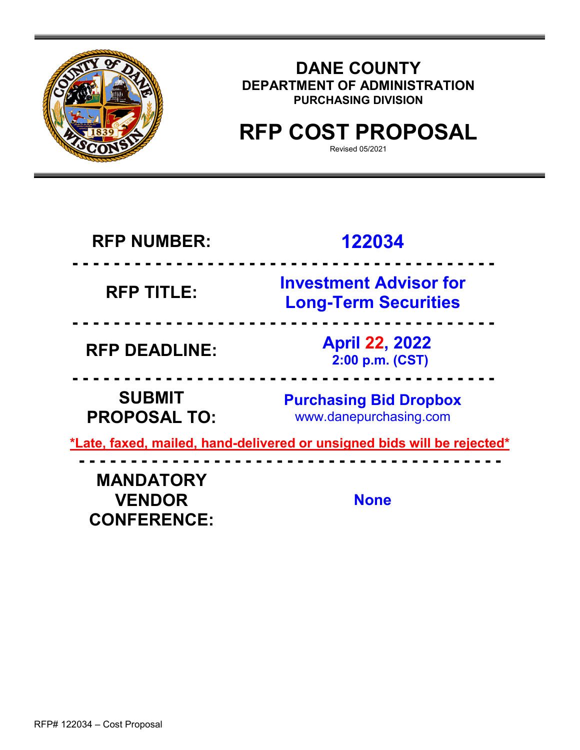

## **DANE COUNTY DEPARTMENT OF ADMINISTRATION PURCHASING DIVISION**

## **RFP COST PROPOSAL**

Revised 05/2021

| <b>RFP NUMBER:</b>                                      | 122034                                                                  |  |
|---------------------------------------------------------|-------------------------------------------------------------------------|--|
| <b>RFP TITLE:</b>                                       | <b>Investment Advisor for</b><br><b>Long-Term Securities</b>            |  |
| <b>RFP DEADLINE:</b>                                    | <b>April 22, 2022</b><br>2:00 p.m. (CST)                                |  |
| <b>SUBMIT</b><br><b>PROPOSAL TO:</b>                    | <b>Purchasing Bid Dropbox</b><br>www.danepurchasing.com                 |  |
|                                                         | *Late, faxed, mailed, hand-delivered or unsigned bids will be rejected* |  |
| <b>MANDATORY</b><br><b>VENDOR</b><br><b>CONFERENCE:</b> | <b>None</b>                                                             |  |